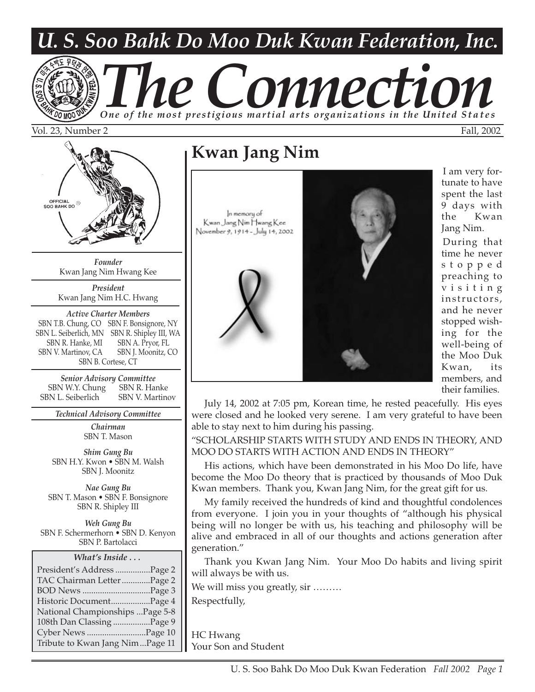# *U. S. Soo Bahk Do Moo Duk Kwan Federation, Inc.*

# *The Connection One of the most prestigious martial arts organizations in the United States*

Vol. 23, Number 2 Fall, 2002



*Founder* Kwan Jang Nim Hwang Kee

*President* Kwan Jang Nim H.C. Hwang

*Active Charter Members* SBN T.B. Chung, CO SBN F. Bonsignore, NY SBN L. Seiberlich, MN SBN R. Shipley III, WA SBN R. Hanke, MI SBN A. Pryor, FL SBN V. Martinov, CA SBN J. Moonitz, CO SBN B. Cortese, CT

*Senior Advisory Committee* SBN W.Y. Chung SBN R. Hanke SBN L. Seiberlich SBN V. Martinov

*Technical Advisory Committee*

*Chairman* SBN T. Mason

*Shim Gung Bu* SBN H.Y. Kwon • SBN M. Walsh SBN J. Moonitz

*Nae Gung Bu* SBN T. Mason • SBN F. Bonsignore SBN R. Shipley III

*Weh Gung Bu* SBN F. Schermerhorn • SBN D. Kenyon SBN P. Bartolacci

*What's Inside . . .*

| President's Address Page 2      |  |
|---------------------------------|--|
| TAC Chairman Letter Page 2      |  |
|                                 |  |
| Historic DocumentPage 4         |  |
| National Championships Page 5-8 |  |
| 108th Dan Classing Page 9       |  |
| Cyber News Page 10              |  |
| Tribute to Kwan Jang NimPage 11 |  |

### **Kwan Jang Nim**

In memory of Kwan Jang Nim Hwang Kee November 9, 1914 - July 14, 2002



I am very fortunate to have spent the last 9 days with the Kwan Jang Nim.

During that time he never stopped preaching to visiting instructors, and he never stopped wishing for the well-being of the Moo Duk Kwan, its members, and their families.

July 14, 2002 at 7:05 pm, Korean time, he rested peacefully. His eyes were closed and he looked very serene. I am very grateful to have been able to stay next to him during his passing.

"SCHOLARSHIP STARTS WITH STUDY AND ENDS IN THEORY, AND MOO DO STARTS WITH ACTION AND ENDS IN THEORY"

His actions, which have been demonstrated in his Moo Do life, have become the Moo Do theory that is practiced by thousands of Moo Duk Kwan members. Thank you, Kwan Jang Nim, for the great gift for us.

My family received the hundreds of kind and thoughtful condolences from everyone. I join you in your thoughts of "although his physical being will no longer be with us, his teaching and philosophy will be alive and embraced in all of our thoughts and actions generation after generation."

Thank you Kwan Jang Nim. Your Moo Do habits and living spirit will always be with us.

We will miss you greatly, sir ........ Respectfully,

HC Hwang Your Son and Student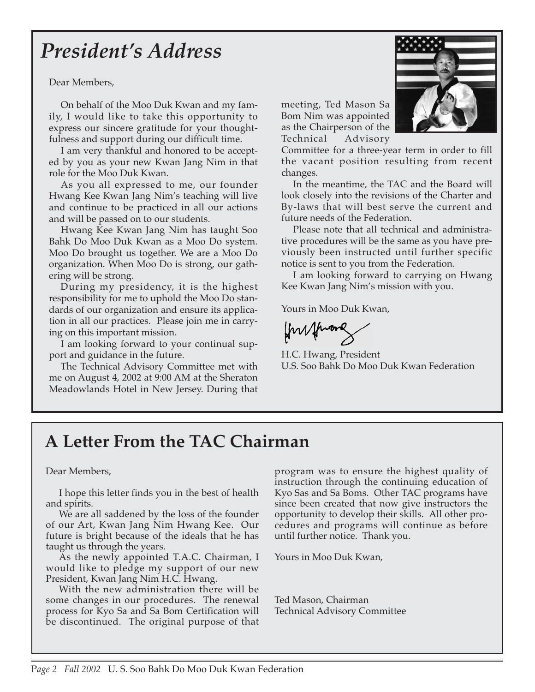# *President's Address*

Dear Members,

On behalf of the Moo Duk Kwan and my family, I would like to take this opportunity to express our sincere gratitude for your thoughtfulness and support during our difficult time.

I am very thankful and honored to be accepted by you as your new Kwan Jang Nim in that role for the Moo Duk Kwan.

As you all expressed to me, our founder Hwang Kee Kwan Jang Nim's teaching will live and continue to be practiced in all our actions and will be passed on to our students.

Hwang Kee Kwan Jang Nim has taught Soo Bahk Do Moo Duk Kwan as a Moo Do system. Moo Do brought us together. We are a Moo Do organization. When Moo Do is strong, our gathering will be strong.

During my presidency, it is the highest responsibility for me to uphold the Moo Do standards of our organization and ensure its application in all our practices. Please join me in carrying on this important mission.

I am looking forward to your continual support and guidance in the future.

The Technical Advisory Committee met with me on August 4, 2002 at 9:00 AM at the Sheraton Meadowlands Hotel in New Jersey. During that

meeting, Ted Mason Sa Bom Nim was appointed as the Chairperson of the Technical Advisory

Committee for a three-year term in order to fill the vacant position resulting from recent changes.

In the meantime, the TAC and the Board will look closely into the revisions of the Charter and By-laws that will best serve the current and future needs of the Federation.

Please note that all technical and administrative procedures will be the same as you have previously been instructed until further specific notice is sent to you from the Federation.

I am looking forward to carrying on Hwang Kee Kwan Jang Nim's mission with you.

Yours in Moo Duk Kwan,

fourthwares

H.C. Hwang, President U.S. Soo Bahk Do Moo Duk Kwan Federation

### **A Letter From the TAC Chairman**

#### Dear Members,

I hope this letter finds you in the best of health and spirits.

We are all saddened by the loss of the founder of our Art, Kwan Jang Nim Hwang Kee. Our future is bright because of the ideals that he has taught us through the years.

As the newly appointed T.A.C. Chairman, I would like to pledge my support of our new President, Kwan Jang Nim H.C. Hwang.

With the new administration there will be some changes in our procedures. The renewal process for Kyo Sa and Sa Bom Certification will be discontinued. The original purpose of that

program was to ensure the highest quality of instruction through the continuing education of Kyo Sas and Sa Boms. Other TAC programs have since been created that now give instructors the opportunity to develop their skills. All other procedures and programs will continue as before until further notice. Thank you.

Yours in Moo Duk Kwan,

Ted Mason, Chairman Technical Advisory Committee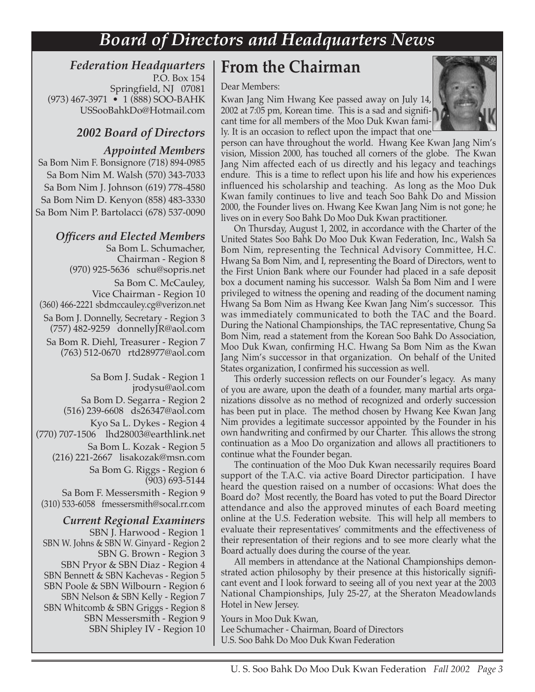### *Board of Directors and Headquarters News*

#### *Federation Headquarters* P.O. Box 154 Springfield, NJ 07081

(973) 467-3971 • 1 (888) SOO-BAHK USSooBahkDo@Hotmail.com

#### *2002 Board of Directors*

#### *Appointed Members*

Sa Bom Nim F. Bonsignore (718) 894-0985 Sa Bom Nim M. Walsh (570) 343-7033 Sa Bom Nim J. Johnson (619) 778-4580 Sa Bom Nim D. Kenyon (858) 483-3330 Sa Bom Nim P. Bartolacci (678) 537-0090

#### *Officers and Elected Members*

Sa Bom L. Schumacher, Chairman - Region 8 (970) 925-5636 schu@sopris.net Sa Bom C. McCauley, Vice Chairman - Region 10 (360) 466-2221 sbdmccauley.cg@verizon.net Sa Bom J. Donnelly, Secretary - Region 3 (757) 482-9259 donnellyJR@aol.com Sa Bom R. Diehl, Treasurer - Region 7 (763) 512-0670 rtd28977@aol.com

Sa Bom J. Sudak - Region 1 jrodysu@aol.com Sa Bom D. Segarra - Region 2 (516) 239-6608 ds26347@aol.com Kyo Sa L. Dykes - Region 4 (770) 707-1506 lhd28003@earthlink.net Sa Bom L. Kozak - Region 5 (216) 221-2667 lisakozak@msn.com Sa Bom G. Riggs - Region 6 (903) 693-5144 Sa Bom F. Messersmith - Region 9 (310) 533-6058 fmessersmith@socal.rr.com

*Current Regional Examiners*  SBN J. Harwood - Region 1 SBN W. Johns & SBN W. Ginyard - Region 2 SBN G. Brown - Region 3 SBN Pryor & SBN Diaz - Region 4 SBN Bennett & SBN Kachevas - Region 5 SBN Poole & SBN Wilbourn - Region 6 SBN Nelson & SBN Kelly - Region 7 SBN Whitcomb & SBN Griggs - Region 8 SBN Messersmith - Region 9 SBN Shipley IV - Region 10

#### **From the Chairman**

#### Dear Members:

Kwan Jang Nim Hwang Kee passed away on July 14, 2002 at 7:05 pm, Korean time. This is a sad and significant time for all members of the Moo Duk Kwan family. It is an occasion to reflect upon the impact that one



person can have throughout the world. Hwang Kee Kwan Jang Nim's vision, Mission 2000, has touched all corners of the globe. The Kwan Jang Nim affected each of us directly and his legacy and teachings endure. This is a time to reflect upon his life and how his experiences influenced his scholarship and teaching. As long as the Moo Duk Kwan family continues to live and teach Soo Bahk Do and Mission 2000, the Founder lives on. Hwang Kee Kwan Jang Nim is not gone; he lives on in every Soo Bahk Do Moo Duk Kwan practitioner.

On Thursday, August 1, 2002, in accordance with the Charter of the United States Soo Bahk Do Moo Duk Kwan Federation, Inc., Walsh Sa Bom Nim, representing the Technical Advisory Committee, H.C. Hwang Sa Bom Nim, and I, representing the Board of Directors, went to the First Union Bank where our Founder had placed in a safe deposit box a document naming his successor. Walsh Sa Bom Nim and I were privileged to witness the opening and reading of the document naming Hwang Sa Bom Nim as Hwang Kee Kwan Jang Nim's successor. This was immediately communicated to both the TAC and the Board. During the National Championships, the TAC representative, Chung Sa Bom Nim, read a statement from the Korean Soo Bahk Do Association, Moo Duk Kwan, confirming H.C. Hwang Sa Bom Nim as the Kwan Jang Nim's successor in that organization. On behalf of the United States organization, I confirmed his succession as well.

This orderly succession reflects on our Founder's legacy. As many of you are aware, upon the death of a founder, many martial arts organizations dissolve as no method of recognized and orderly succession has been put in place. The method chosen by Hwang Kee Kwan Jang Nim provides a legitimate successor appointed by the Founder in his own handwriting and confirmed by our Charter. This allows the strong continuation as a Moo Do organization and allows all practitioners to continue what the Founder began.

The continuation of the Moo Duk Kwan necessarily requires Board support of the T.A.C. via active Board Director participation. I have heard the question raised on a number of occasions: What does the Board do? Most recently, the Board has voted to put the Board Director attendance and also the approved minutes of each Board meeting online at the U.S. Federation website. This will help all members to evaluate their representatives' commitments and the effectiveness of their representation of their regions and to see more clearly what the Board actually does during the course of the year.

All members in attendance at the National Championships demonstrated action philosophy by their presence at this historically significant event and I look forward to seeing all of you next year at the 2003 National Championships, July 25-27, at the Sheraton Meadowlands Hotel in New Jersey.

Yours in Moo Duk Kwan, Lee Schumacher - Chairman, Board of Directors U.S. Soo Bahk Do Moo Duk Kwan Federation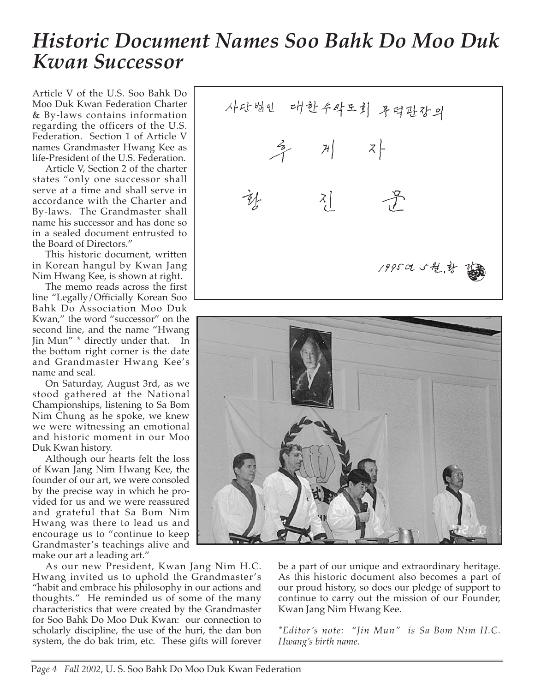# *Historic Document Names Soo Bahk Do Moo Duk Kwan Successor*

Article V of the U.S. Soo Bahk Do Moo Duk Kwan Federation Charter & By-laws contains information regarding the officers of the U.S. Federation. Section 1 of Article V names Grandmaster Hwang Kee as life-President of the U.S. Federation.

Article V, Section 2 of the charter states "only one successor shall serve at a time and shall serve in accordance with the Charter and By-laws. The Grandmaster shall name his successor and has done so in a sealed document entrusted to the Board of Directors."

This historic document, written in Korean hangul by Kwan Jang Nim Hwang Kee, is shown at right.

The memo reads across the first line "Legally/Officially Korean Soo Bahk Do Association Moo Duk Kwan," the word "successor" on the second line, and the name "Hwang Jin Mun" \* directly under that. In the bottom right corner is the date and Grandmaster Hwang Kee's name and seal.

On Saturday, August 3rd, as we stood gathered at the National Championships, listening to Sa Bom Nim Chung as he spoke, we knew we were witnessing an emotional and historic moment in our Moo Duk Kwan history.

Although our hearts felt the loss of Kwan Jang Nim Hwang Kee, the founder of our art, we were consoled by the precise way in which he provided for us and we were reassured and grateful that Sa Bom Nim Hwang was there to lead us and encourage us to "continue to keep Grandmaster's teachings alive and make our art a leading art."

As our new President, Kwan Jang Nim H.C. Hwang invited us to uphold the Grandmaster's "habit and embrace his philosophy in our actions and thoughts." He reminded us of some of the many characteristics that were created by the Grandmaster for Soo Bahk Do Moo Duk Kwan: our connection to scholarly discipline, the use of the huri, the dan bon system, the do bak trim, etc. These gifts will forever

사단법인 대한수작도회 무덕판장의  $\frac{2}{3}$  $\mathcal{A}$   $\mathcal{A}$   $\mathcal{A}$  $\left[\frac{z}{\sqrt{2}}\right]$ 1995は5程,就



be a part of our unique and extraordinary heritage. As this historic document also becomes a part of our proud history, so does our pledge of support to continue to carry out the mission of our Founder, Kwan Jang Nim Hwang Kee.

*\*Editor's note: "Jin Mun" is Sa Bom Nim H.C. Hwang's birth name.*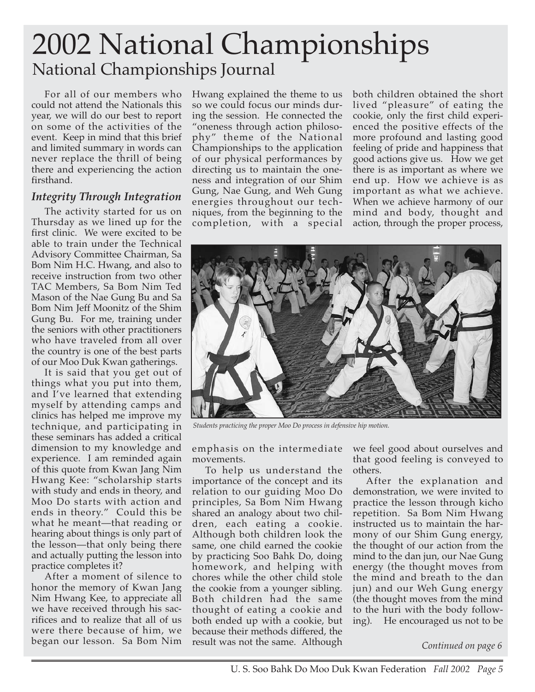# 2002 National Championships National Championships Journal

For all of our members who could not attend the Nationals this year, we will do our best to report on some of the activities of the event. Keep in mind that this brief and limited summary in words can never replace the thrill of being there and experiencing the action firsthand.

#### *Integrity Through Integration*

The activity started for us on Thursday as we lined up for the first clinic. We were excited to be able to train under the Technical Advisory Committee Chairman, Sa Bom Nim H.C. Hwang, and also to receive instruction from two other TAC Members, Sa Bom Nim Ted Mason of the Nae Gung Bu and Sa Bom Nim Jeff Moonitz of the Shim Gung Bu. For me, training under the seniors with other practitioners who have traveled from all over the country is one of the best parts of our Moo Duk Kwan gatherings.

It is said that you get out of things what you put into them, and I've learned that extending myself by attending camps and clinics has helped me improve my technique, and participating in these seminars has added a critical dimension to my knowledge and experience. I am reminded again of this quote from Kwan Jang Nim Hwang Kee: "scholarship starts with study and ends in theory, and Moo Do starts with action and ends in theory." Could this be what he meant—that reading or hearing about things is only part of the lesson—that only being there and actually putting the lesson into practice completes it?

After a moment of silence to honor the memory of Kwan Jang Nim Hwang Kee, to appreciate all we have received through his sacrifices and to realize that all of us were there because of him, we began our lesson. Sa Bom Nim

Hwang explained the theme to us so we could focus our minds during the session. He connected the "oneness through action philosophy" theme of the National Championships to the application of our physical performances by directing us to maintain the oneness and integration of our Shim Gung, Nae Gung, and Weh Gung energies throughout our techniques, from the beginning to the completion, with a special

both children obtained the short lived "pleasure" of eating the cookie, only the first child experienced the positive effects of the more profound and lasting good feeling of pride and happiness that good actions give us. How we get there is as important as where we end up. How we achieve is as important as what we achieve. When we achieve harmony of our mind and body, thought and action, through the proper process,



*Students practicing the proper Moo Do process in defensive hip motion.*

emphasis on the intermediate movements.

To help us understand the importance of the concept and its relation to our guiding Moo Do principles, Sa Bom Nim Hwang shared an analogy about two children, each eating a cookie. Although both children look the same, one child earned the cookie by practicing Soo Bahk Do, doing homework, and helping with chores while the other child stole the cookie from a younger sibling. Both children had the same thought of eating a cookie and both ended up with a cookie, but because their methods differed, the result was not the same. Although

we feel good about ourselves and that good feeling is conveyed to others.

After the explanation and demonstration, we were invited to practice the lesson through kicho repetition. Sa Bom Nim Hwang instructed us to maintain the harmony of our Shim Gung energy, the thought of our action from the mind to the dan jun, our Nae Gung energy (the thought moves from the mind and breath to the dan jun) and our Weh Gung energy (the thought moves from the mind to the huri with the body following). He encouraged us not to be

*Continued on page 6*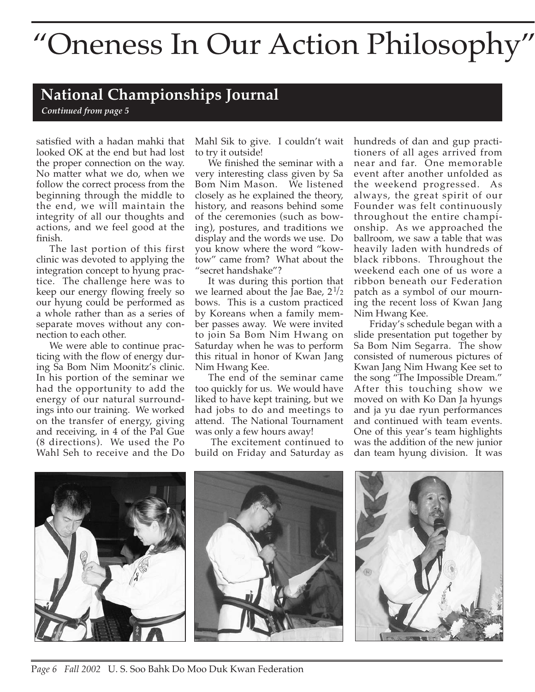# "Oneness In Our Action Philosophy"

#### **National Championships Journal**

*Continued from page 5*

satisfied with a hadan mahki that looked OK at the end but had lost the proper connection on the way. No matter what we do, when we follow the correct process from the beginning through the middle to the end, we will maintain the integrity of all our thoughts and actions, and we feel good at the finish.

The last portion of this first clinic was devoted to applying the integration concept to hyung practice. The challenge here was to keep our energy flowing freely so our hyung could be performed as a whole rather than as a series of separate moves without any connection to each other.

We were able to continue practicing with the flow of energy during Sa Bom Nim Moonitz's clinic. In his portion of the seminar we had the opportunity to add the energy of our natural surroundings into our training. We worked on the transfer of energy, giving and receiving, in 4 of the Pal Gue (8 directions). We used the Po Wahl Seh to receive and the Do

Mahl Sik to give. I couldn't wait to try it outside!

We finished the seminar with a very interesting class given by Sa Bom Nim Mason. We listened closely as he explained the theory, history, and reasons behind some of the ceremonies (such as bowing), postures, and traditions we display and the words we use. Do you know where the word "kowtow" came from? What about the "secret handshake"?

It was during this portion that we learned about the Jae Bae,  $2^{1/2}$ bows. This is a custom practiced by Koreans when a family member passes away. We were invited to join Sa Bom Nim Hwang on Saturday when he was to perform this ritual in honor of Kwan Jang Nim Hwang Kee.

The end of the seminar came too quickly for us. We would have liked to have kept training, but we had jobs to do and meetings to attend. The National Tournament was only a few hours away!

The excitement continued to build on Friday and Saturday as hundreds of dan and gup practitioners of all ages arrived from near and far. One memorable event after another unfolded as the weekend progressed. As always, the great spirit of our Founder was felt continuously throughout the entire championship. As we approached the ballroom, we saw a table that was heavily laden with hundreds of black ribbons. Throughout the weekend each one of us wore a ribbon beneath our Federation patch as a symbol of our mourning the recent loss of Kwan Jang Nim Hwang Kee.

Friday's schedule began with a slide presentation put together by Sa Bom Nim Segarra. The show consisted of numerous pictures of Kwan Jang Nim Hwang Kee set to the song "The Impossible Dream." After this touching show we moved on with Ko Dan Ja hyungs and ja yu dae ryun performances and continued with team events. One of this year's team highlights was the addition of the new junior dan team hyung division. It was



P*age 6 Fall 2002* U. S. Soo Bahk Do Moo Duk Kwan Federation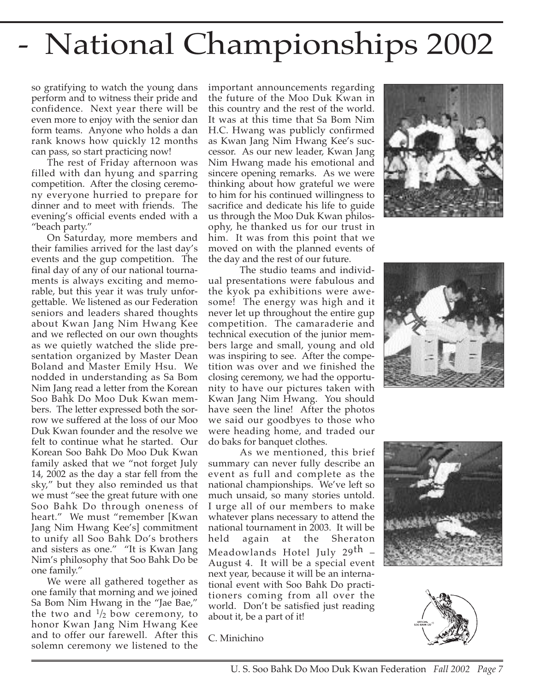# - National Championships 2002

so gratifying to watch the young dans perform and to witness their pride and confidence. Next year there will be even more to enjoy with the senior dan form teams. Anyone who holds a dan rank knows how quickly 12 months can pass, so start practicing now!

The rest of Friday afternoon was filled with dan hyung and sparring competition. After the closing ceremony everyone hurried to prepare for dinner and to meet with friends. The evening's official events ended with a "beach party."

On Saturday, more members and their families arrived for the last day's events and the gup competition. The final day of any of our national tournaments is always exciting and memorable, but this year it was truly unforgettable. We listened as our Federation seniors and leaders shared thoughts about Kwan Jang Nim Hwang Kee and we reflected on our own thoughts as we quietly watched the slide presentation organized by Master Dean Boland and Master Emily Hsu. We nodded in understanding as Sa Bom Nim Jang read a letter from the Korean Soo Bahk Do Moo Duk Kwan members. The letter expressed both the sorrow we suffered at the loss of our Moo Duk Kwan founder and the resolve we felt to continue what he started. Our Korean Soo Bahk Do Moo Duk Kwan family asked that we "not forget July 14, 2002 as the day a star fell from the sky," but they also reminded us that we must "see the great future with one Soo Bahk Do through oneness of heart." We must "remember [Kwan Jang Nim Hwang Kee's] commitment to unify all Soo Bahk Do's brothers and sisters as one." "It is Kwan Jang Nim's philosophy that Soo Bahk Do be one family."

We were all gathered together as one family that morning and we joined Sa Bom Nim Hwang in the "Jae Bae," the two and  $\frac{1}{2}$  bow ceremony, to honor Kwan Jang Nim Hwang Kee and to offer our farewell. After this solemn ceremony we listened to the

important announcements regarding the future of the Moo Duk Kwan in this country and the rest of the world. It was at this time that Sa Bom Nim H.C. Hwang was publicly confirmed as Kwan Jang Nim Hwang Kee's successor. As our new leader, Kwan Jang Nim Hwang made his emotional and sincere opening remarks. As we were thinking about how grateful we were to him for his continued willingness to sacrifice and dedicate his life to guide us through the Moo Duk Kwan philosophy, he thanked us for our trust in him. It was from this point that we moved on with the planned events of the day and the rest of our future.

The studio teams and individual presentations were fabulous and the kyok pa exhibitions were awesome! The energy was high and it never let up throughout the entire gup competition. The camaraderie and technical execution of the junior members large and small, young and old was inspiring to see. After the competition was over and we finished the closing ceremony, we had the opportunity to have our pictures taken with Kwan Jang Nim Hwang. You should have seen the line! After the photos we said our goodbyes to those who were heading home, and traded our do baks for banquet clothes.

As we mentioned, this brief summary can never fully describe an event as full and complete as the national championships. We've left so much unsaid, so many stories untold. I urge all of our members to make whatever plans necessary to attend the national tournament in 2003. It will be held again at the Sheraton Meadowlands Hotel July 29<sup>th</sup> August 4. It will be a special event next year, because it will be an international event with Soo Bahk Do practitioners coming from all over the world. Don't be satisfied just reading about it, be a part of it!

C. Minichino







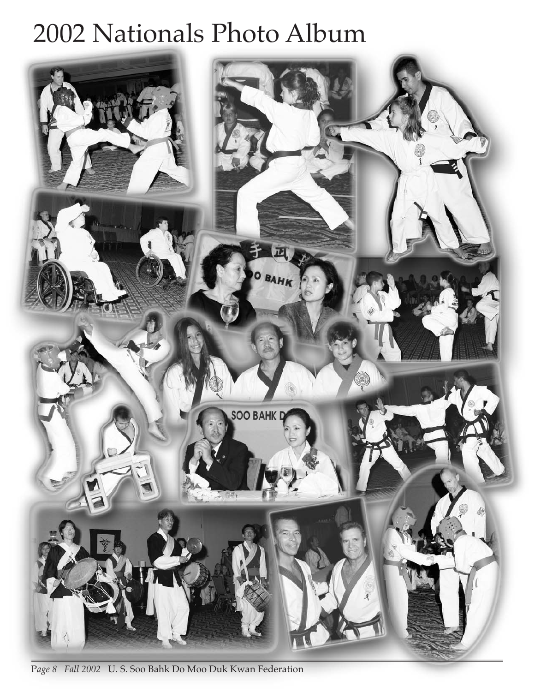# 2002 Nationals Photo Album



P*age 8 Fall 2002* U. S. Soo Bahk Do Moo Duk Kwan Federation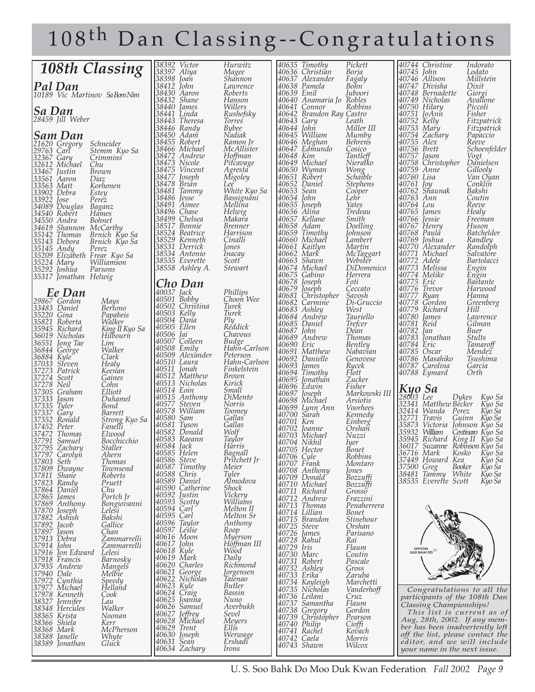# 108th Dan Classing--Congratulations

| 108th Classing                                                  | 38392 Victor                      | Hurwitz                       | 40635 Timothy                            | Pickett                      | 40744 Christine<br>Indorato                                        |
|-----------------------------------------------------------------|-----------------------------------|-------------------------------|------------------------------------------|------------------------------|--------------------------------------------------------------------|
|                                                                 | 38397 Aliya<br>38398 Joan         | Magee<br>Shannon              | 40636 Christian<br>40637 Alexander       | Borja<br>Fagaly              | 40745 John<br>Lodato<br>Millstein<br>40746 Allison                 |
| Pal Dan<br>10189 Vic Martinov SaBomNim                          | 38412 John<br>38430 Aaron         | Lawrence<br>Roberts           | 40638 Pamela<br>40639 Emil               | Bohn <sup>-</sup><br>Juboori | 40747 Divisha<br>Dixit<br>40748 Bernadette<br>Giorgi               |
|                                                                 | 38432 Shane                       | Hanson                        | 40640 Anamaria Jo Robles                 |                              | 40749 Nicholas<br>Avallone                                         |
| Sa Dan                                                          | 38440 James<br>38441 Linda        | Willers<br>Rushefsky          | 40641 Connor<br>40642 Brandon Ray Castro | Robbins                      | 40750 Hilary<br>Piccoli<br>40751 JoAnn<br>Fisher                   |
| 28459 Jill Weber                                                | 38443 Theresa<br>38446 Randy      | <b>Torres</b><br><b>Bybee</b> | 40643 Gary<br>40644 John                 | Leath<br>Miller III          | 40752 Kelly<br>Fitzpatrick<br>40753 Mary<br>Eitzpatrick            |
| Sam Dan                                                         | 38450 Adam                        | Nadiak                        | 40645 William                            | Mumby                        | 40754 Zachary<br>Papaccio                                          |
| 21620 Gregory<br>Schneider<br>29763 Carl<br>Stemm Kyo Sa        | 38455 Robert<br>38466 Michael     | Ramon Jr<br>McAllister        | 40646 Meghan<br>40647 Edmundo            | <b>Behrens</b><br>Cosico     | $40755$ Alex<br>Reeve<br>40756 Brett<br>Schoenfelder               |
| 32367 Gary<br>Crimmins                                          | 38472 Andrew                      | Hoffman                       | 40648 Kim                                | Tantleff                     | 40757 Jason<br>$\mathcal{Q}$ gt                                    |
| 32612 Michael<br>Chu<br>33467 Justin<br>Brown                   | 38473 Nicole<br> 38475 Vincent    | Pitcavage<br>Agresta          | 40649 Michael<br>40650 Wyman             | Nierałko<br>Wong<br>Schaible | 40758 Christopher<br>Danielsen<br>40759 Anne<br>Gillooly           |
| 33561 Aaron<br>Diaz                                             | 38477<br>Joseph<br> 38478 Brian   | Migoley<br>Lee                | 40651 Röbert<br>40652 Daniel             | <i><b>Stephens</b></i>       | 40760 Lisa<br>Van Oyan<br>40761 Joy<br>Conklin                     |
| 33563 Matt<br>Korhonen<br>33902 Debra<br>Estey                  | 38481 Tammy                       | White Kyo Sa                  | 40653 Sean                               | Cooper                       | 40762 Shaunak<br>Bakshi                                            |
| 33922<br>Perez<br>Jose<br>34089 Douglas Baganz                  | 38486 Jesse<br>38491 Aimee        | Bassignăni<br>Mellina         | 40654 John<br>40655 Joseph               | Lehr<br>Yates                | 40763 Ann<br>Coutin<br>40764 Lou<br>Reeve                          |
| 34540 Robert<br>Hames                                           | 38496 Chase<br>38499 Chelsea      | Helwig<br>Makara              | 40656 Alina<br>40657 Kellane             | Tredeau<br>Smith             | 40765 <i>James</i><br>Healy<br>$40766$ <i>lessie</i><br>Freeman    |
| 34550 Andra<br><i>Bohnet</i><br>34619 Shannon McCarthy          | 38517 Bonnie                      | <i>Brenner</i>                | 40658 Adam                               | Doelling                     | 40767 Henry<br>Huson                                               |
| 35142 Thomas<br>Brnich Kyo Sa<br>35143 Debora                   | 38524 Beatrice<br>38529 Kenneth   | Harrison<br>Cinalli           | 40659 Timothy<br>40660 Michael           | <i>Johnson</i><br>Lambert    | 40768 Paulă<br><i>Batchelder</i><br>40769 Joshua<br>Randley        |
| Brnich Kyo Sa<br>35145 Andy<br>Perez                            | 38531 Derrick                     | Jones                         | 40661 Kaitlyn                            | Martin                       | 40770 Alexander<br>Randolph                                        |
| 35209 Elizabeth Frear Kyo Sa<br>35224 Mary<br>Williamson        | 38534 Antonio<br>38535 Everette   | Inacay<br>Scott <sup>-</sup>  | 40662 Mark<br>40663 Shawn                | McTaggart<br>Webster         | 40771 Michael<br>Salvatore<br>40772 Adele<br>Bartolacci            |
| 35292 Joshua<br>Parsons                                         | 38558 Ashley A.                   | Stewart                       | 40674 Michael<br>40675 Gabino            | DiDomenico<br>Herrera        | 40773 Melissa<br>Engin<br>40774 Melike<br>Engin                    |
| 35317 Jonathan Helwig                                           | Cho Dan                           |                               | 40678<br>Joseph                          | Foti                         | 40775 Eric<br><i>Bastante</i>                                      |
| Ee Dan                                                          | $40037$ Jack                      | Phillips                      | 40679<br>Joseph<br>40681 Christopher     | Ceccato<br>Savosh            | 40776 Trevor<br>Harwood<br>40777 Ryan<br>Hanna                     |
| 29867 Gordon<br>Mays<br>33483 Daniel<br>Bertono                 | $ 40501$ Bobby<br>40502 Christina | Choon Wee<br>Turek            | 40682 Carmine<br>40683 Ashley            | Di-Gruccio<br>West           | 40778 Gordon<br>Greenberg<br>40779 Richard<br>Hill                 |
| 35220 Gina<br>Papabeis                                          | $40503$ Kelly<br> 40504 Dana      | Turek<br>Ply                  | 40684 Andrew                             | Tauriello                    | 40780<br>James<br>Lawrence                                         |
| Walker<br>35821 Roberta<br>35945 Richard<br>King II Kyo Sa      | 40505 Ellen                       | Reddick                       | 40685 Daniel<br>40687 John               | Trefcer<br>Déan              | 40781 Reid<br>Gilman<br>40782 Jan<br>Buer                          |
| 36019 Nicholas<br>Hilbourn<br>36551 Jong Tae<br>Lim             | 40506 Jai<br>40507 Colleen        | Chayous<br>Budge              | 40689 Andrew                             | <b>Thomas</b>                | 40783<br>Jonathan<br>Stults                                        |
| Walker<br>36844 George                                          | $40508$ Emily<br>40509 Alexander  | Hahn-Carlson<br>Peterson      | 40690 Eric<br>40691 Matthew              | Bentley<br>Nabavïan          | 40784 Eric<br>Tamaroff<br>40785 Oscar<br>Mendez                    |
| Clark<br> 36884 Kyle`<br>37033 Steven<br>Healy                  | 140510 Laura                      | Hahn-Carlson                  | 40692 Danielle<br>40693 James            | Genovese<br>Rycek            | 40786 Masahiko<br>Tsushima<br>40787 Carolina<br>Garcia             |
| 37273 Patrick<br>Keenan<br>37274 Scott<br>Gaines                | 40511 Jonah<br>40512 Matthew      | Finkelstein<br>Brown          | 40694 Timothy                            | Flott                        | 40788 Eymard<br>Orth                                               |
| 37278 Neil<br>Cohn                                              | 40513 Nicholas                    | Kirick                        | 40695 Jonathan<br>40696 Edwin            | Zucker<br>Fisher             |                                                                    |
| Elliott<br>37305 Graham<br> 37333 Jason<br>Duhamel              | 40514 Eoin<br>40515 Anthony       | Small<br>DiMento              | 40697 Joseph<br>40698 Michael            | Markowski III<br>Arsiotis    | <b>Kyo Sa</b><br>28003 Lee Dykes<br>32341 Matthew Becker<br>Kyo Sa |
| 37335 Tyler<br>Bond<br>37337 Gary<br>Barrett                    | 40577 Steven<br>40578 William     | Norris<br>Toomey              | 40699 Lynn Ann                           | Voorhees                     | Kyo Sa<br>32414 Wanda Perez<br>Kyo Sa                              |
| Strong Kyo Sa<br>37352 Ronald                                   | 40580 Sam                         | Gallas                        | 40700 Sarah<br>40701 Ken                 | Kennedy<br>Einberg           | 32771<br>Travis<br>Guinn Kyo Sa<br>35873                           |
| Fanelli<br>37452 Peter<br>37472 Thomas<br>Elwood                | 40581 Tyson<br> 40582 Donald      | Gallas<br>Wolf                | 40702<br>Joanne<br>40703 Michael         | Orshan<br>Nuzzi              | Victoria Johnson Kyo Sa<br>35932<br>William<br>Centinaro Kyo Sa    |
| 37791 Samuel<br>Bocchicchio<br>137795 Zachary<br><i>Staller</i> | 40583 Raeann<br>40584 Jack        | Taylor<br>Hărris              | 40704 Nikhil                             | <i>lyer</i>                  | 35945 Richard King II Kyo Sa<br>[36017 Suzanne Robinson Kyo Sa     |
| 37797 Carolyn<br>Ahern                                          | 40585 Helen                       | Bagnall                       | 40705 Hector<br>40706 Cyle               | Bonet<br>Robbins             | Kosko<br>Kyo Sa<br>36716 Mark                                      |
| 37803 Seth<br>Thomas<br>37809 Dwayne<br>Townsend                | 40586 Steve<br>40587 Timothy      | Pritchett Jr<br>Meier         | 40707 Frank<br>40708 Anthony             | Montaro<br>Jones             | 37449 Howard Kea<br>Kyo Sa<br>37500 Greg<br>Kyo Sa<br>Booker       |
| 37811 Shane<br>Roberts                                          | 40588 Chris<br> 40589 Daniel      | Tyler<br>Almodova             | 40709 Donald`                            | Bozzuffi                     | 38481 Tammy White<br>Kyo Sa<br>38535 Everette Scott<br>Kyo Sa      |
| 37823 Randy<br>Pruett<br>37864 Daniël<br>Chu                    | 40590 Catherine                   | Shock                         | 40710 Michael<br>40711 Richard           | Bozzuffi<br>Grossö           |                                                                    |
| 37865 James<br>Portch Jr<br>37869 Anthony<br>Bongiovanni        | 40592 Justin<br>40593 Scotty      | Vickery<br>Williams           | 40712 Andrew<br>40713 Thomas             | Frazzini<br>Penaherrera      |                                                                    |
| 37870 Joseph<br>Leleši                                          | 40594 Carl<br>40595 Carl          | Melton II<br>Melton Sr        | 40714 Lillian                            | Bonet                        |                                                                    |
| 37882 Ashish<br>Bakshi<br>37892 Jacob<br>Gallice                | 40596 Taylor                      | Anthony                       | 40715 Brandon<br>40725 Steve             | Stinehour<br>Orshan          |                                                                    |
| 37897 Jason<br>Chan<br> 37913 Debra<br>Zammarrelli              | 40597 Leslie<br>40616 Moon        | Roop<br>Myerson               | 40726 James                              | Parisano                     |                                                                    |
| 37914 <i>John</i><br>Zammarrelli                                | 40617 John<br>40618 Kyle          | Höffman III<br>Wood           | 40728 Rahul<br>40729 Iris                | Rai<br>Flaum                 | OFFICIAL 9                                                         |
| 37916 Jon Edward<br>Lelesi<br>37918 Francis<br>Barnosky         | 40619 Mark                        | Daily                         | 40730 Marc<br>40731 Robert               | Coutin<br>Pascale            |                                                                    |
| 37935 Andrew<br>Mangels<br>37940 Dale<br>Melbie                 | 40620 Charles<br>40621 George     | Richmond<br>Jorgensen         | 40732 Ashley                             | Gross                        |                                                                    |
| 37972 Cynthia<br>Speedy                                         | 40622 Nicholas                    | Taienao                       | 40733 Erika<br>40734 Kayleigh            | Zaruba<br>Marchetti          |                                                                    |
| 37977 Michael<br>Helland<br>37978 Kenneth<br>Cook               | 40623 Kyle<br>40624 Craig         | Butler<br>Bassin              | 40735 Nicholas<br>40736 Leilani          | Vanderhoff<br>Cruz           | Congratulations to all the                                         |
| 38327 Jennifer<br>Lau                                           | 40625 Joanna<br> 40626 Samuel     | Nuno<br>Averbukh              | 40737 Samantha                           | Flaum                        | participants of the 108th Dan<br>Classing Championships!           |
| 38348 Hercules<br>Walker<br>38365 Krista<br>Noonan              | $ 40627 $ <i>leffrey</i>          | Sevel                         | 40738 Gregory<br>40739 Christopher       | Gordon<br>Pearson            | This list is current as of                                         |
| 38366 Shiela<br>Kerr<br>38368 Mark<br>McPherson                 | 40628 Michael<br>$40629$ Trent    | Meyers<br>Ellis               | 40740 Philip                             | Cioffi                       | Aug, 28th, 2002. If any mem-<br>ber has been inadvertently left    |
| 38388 Janelle<br>Whyte                                          | $ 40630 $ Joseph<br> 40631 Sean   | Werwage<br>Ershadi            | 40741 Rachel<br>40742 Caela              | Kovach<br>Morris             | off the list, please contact the<br>editor, and we will include    |
| Gluck<br>38389 Jonathan                                         | $40634$ Zachary                   | Irons                         | 40743 Shawn                              | Wilcox                       | your name in the next issue.                                       |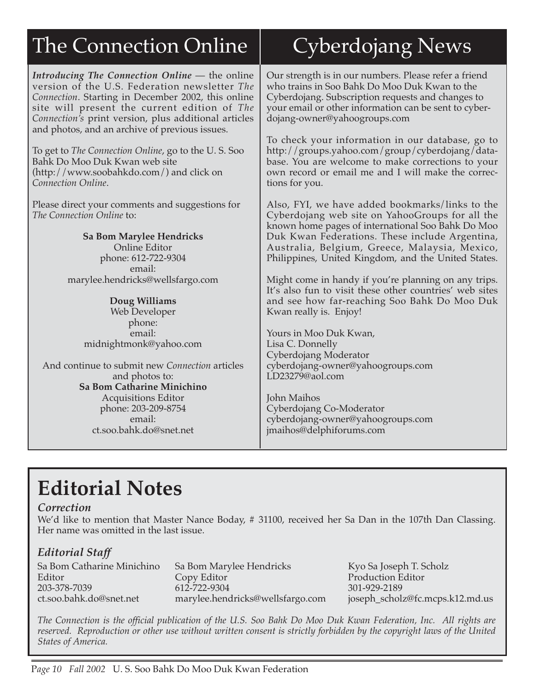# The Connection Online

*Introducing The Connection Online* — the online version of the U.S. Federation newsletter *The Connection*. Starting in December 2002, this online site will present the current edition of *The Connection's* print version, plus additional articles and photos, and an archive of previous issues.

To get to *The Connection Online*, go to the U. S. Soo Bahk Do Moo Duk Kwan web site (http://www.soobahkdo.com/) and click on *Connection Online*.

Please direct your comments and suggestions for *The Connection Online* to:

> **Sa Bom Marylee Hendricks** Online Editor phone: 612-722-9304 email: marylee.hendricks@wellsfargo.com

#### **Doug Williams**

Web Developer phone: email: midnightmonk@yahoo.com

And continue to submit new *Connection* articles and photos to: **Sa Bom Catharine Minichino** Acquisitions Editor phone: 203-209-8754 email: ct.soo.bahk.do@snet.net

# Cyberdojang News

Our strength is in our numbers. Please refer a friend who trains in Soo Bahk Do Moo Duk Kwan to the Cyberdojang. Subscription requests and changes to your email or other information can be sent to cyberdojang-owner@yahoogroups.com

To check your information in our database, go to http://groups.yahoo.com/group/cyberdojang/database. You are welcome to make corrections to your own record or email me and I will make the corrections for you.

Also, FYI, we have added bookmarks/links to the Cyberdojang web site on YahooGroups for all the known home pages of international Soo Bahk Do Moo Duk Kwan Federations. These include Argentina, Australia, Belgium, Greece, Malaysia, Mexico, Philippines, United Kingdom, and the United States.

Might come in handy if you're planning on any trips. It's also fun to visit these other countries' web sites and see how far-reaching Soo Bahk Do Moo Duk Kwan really is. Enjoy!

Yours in Moo Duk Kwan, Lisa C. Donnelly Cyberdojang Moderator cyberdojang-owner@yahoogroups.com LD23279@aol.com

John Maihos Cyberdojang Co-Moderator cyberdojang-owner@yahoogroups.com jmaihos@delphiforums.com

# **Editorial Notes**

#### *Correction*

We'd like to mention that Master Nance Boday, # 31100, received her Sa Dan in the 107th Dan Classing. Her name was omitted in the last issue.

#### *Editorial Staff*

Sa Bom Catharine Minichino Sa Bom Marylee Hendricks Kyo Sa Joseph T. Scholz<br>
Editor Copy Editor Contexts Production Editor Editor Copy Editor Production Editor<br>203-378-7039 612-722-9304 301-929-2189 203-378-7039 612-722-9304 301-929-2189 ct.soo.bahk.do@snet.net marylee.hendricks@wellsfargo.com joseph\_scholz@fc.mcps.k12.md.us

*The Connection is the official publication of the U.S. Soo Bahk Do Moo Duk Kwan Federation, Inc. All rights are reserved. Reproduction or other use without written consent is strictly forbidden by the copyright laws of the United States of America.*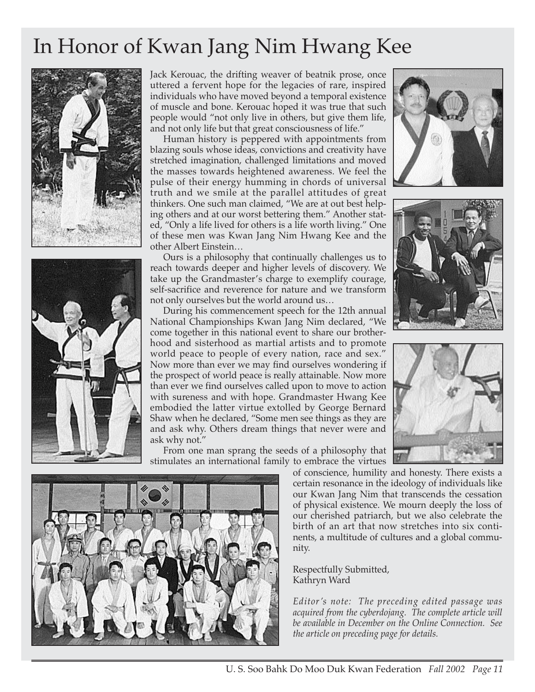# In Honor of Kwan Jang Nim Hwang Kee





Jack Kerouac, the drifting weaver of beatnik prose, once uttered a fervent hope for the legacies of rare, inspired individuals who have moved beyond a temporal existence of muscle and bone. Kerouac hoped it was true that such people would "not only live in others, but give them life, and not only life but that great consciousness of life."

Human history is peppered with appointments from blazing souls whose ideas, convictions and creativity have stretched imagination, challenged limitations and moved the masses towards heightened awareness. We feel the pulse of their energy humming in chords of universal truth and we smile at the parallel attitudes of great thinkers. One such man claimed, "We are at out best helping others and at our worst bettering them." Another stated, "Only a life lived for others is a life worth living." One of these men was Kwan Jang Nim Hwang Kee and the other Albert Einstein…

Ours is a philosophy that continually challenges us to reach towards deeper and higher levels of discovery. We take up the Grandmaster's charge to exemplify courage, self-sacrifice and reverence for nature and we transform not only ourselves but the world around us…

During his commencement speech for the 12th annual National Championships Kwan Jang Nim declared, "We come together in this national event to share our brotherhood and sisterhood as martial artists and to promote world peace to people of every nation, race and sex." Now more than ever we may find ourselves wondering if the prospect of world peace is really attainable. Now more than ever we find ourselves called upon to move to action with sureness and with hope. Grandmaster Hwang Kee embodied the latter virtue extolled by George Bernard Shaw when he declared, "Some men see things as they are and ask why. Others dream things that never were and ask why not."

From one man sprang the seeds of a philosophy that stimulates an international family to embrace the virtues









of conscience, humility and honesty. There exists a certain resonance in the ideology of individuals like our Kwan Jang Nim that transcends the cessation of physical existence. We mourn deeply the loss of our cherished patriarch, but we also celebrate the birth of an art that now stretches into six continents, a multitude of cultures and a global community.

Respectfully Submitted, Kathryn Ward

*Editor's note: The preceding edited passage was acquired from the cyberdojang. The complete article will be available in December on the Online Connection. See the article on preceding page for details.*